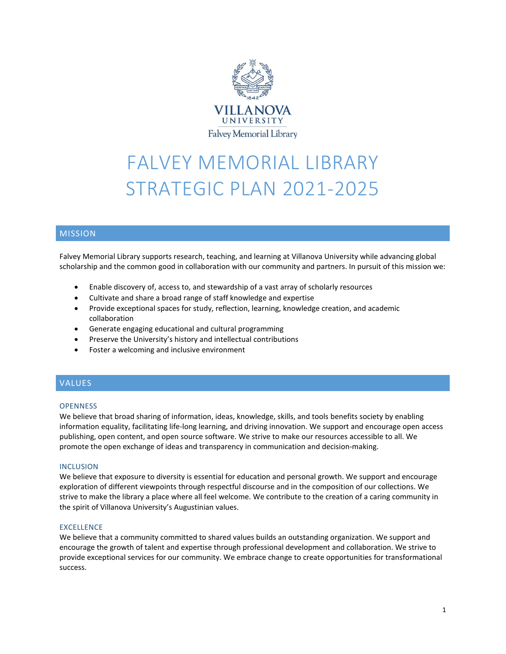

# FALVEY MEMORIAL LIBRARY STRATEGIC PLAN 2021-2025

# MISSION

Falvey Memorial Library supports research, teaching, and learning at Villanova University while advancing global scholarship and the common good in collaboration with our community and partners. In pursuit of this mission we:

- Enable discovery of, access to, and stewardship of a vast array of scholarly resources
- Cultivate and share a broad range of staff knowledge and expertise
- Provide exceptional spaces for study, reflection, learning, knowledge creation, and academic collaboration
- Generate engaging educational and cultural programming
- Preserve the University's history and intellectual contributions
- Foster a welcoming and inclusive environment

# VALUES

#### **OPENNESS**

We believe that broad sharing of information, ideas, knowledge, skills, and tools benefits society by enabling information equality, facilitating life-long learning, and driving innovation. We support and encourage open access publishing, open content, and open source software. We strive to make our resources accessible to all. We promote the open exchange of ideas and transparency in communication and decision-making.

#### INCLUSION

We believe that exposure to diversity is essential for education and personal growth. We support and encourage exploration of different viewpoints through respectful discourse and in the composition of our collections. We strive to make the library a place where all feel welcome. We contribute to the creation of a caring community in the spirit of Villanova University's Augustinian values.

#### EXCELLENCE

We believe that a community committed to shared values builds an outstanding organization. We support and encourage the growth of talent and expertise through professional development and collaboration. We strive to provide exceptional services for our community. We embrace change to create opportunities for transformational success.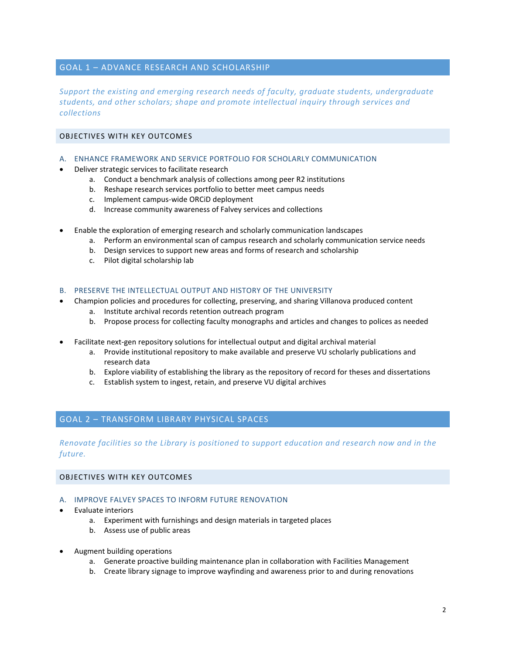## GOAL 1 – ADVANCE RESEARCH AND SCHOLARSHIP

*Support the existing and emerging research needs of faculty, graduate students, undergraduate students, and other scholars; shape and promote intellectual inquiry through services and collections*

# OBJECTIVES WITH KEY OUTCOMES

- A. ENHANCE FRAMEWORK AND SERVICE PORTFOLIO FOR SCHOLARLY COMMUNICATION
- Deliver strategic services to facilitate research
	- a. Conduct a benchmark analysis of collections among peer R2 institutions
	- b. Reshape research services portfolio to better meet campus needs
	- c. Implement campus-wide ORCiD deployment
	- d. Increase community awareness of Falvey services and collections
- Enable the exploration of emerging research and scholarly communication landscapes
	- a. Perform an environmental scan of campus research and scholarly communication service needs
	- b. Design services to support new areas and forms of research and scholarship
	- c. Pilot digital scholarship lab

## B. PRESERVE THE INTELLECTUAL OUTPUT AND HISTORY OF THE UNIVERSITY

- Champion policies and procedures for collecting, preserving, and sharing Villanova produced content
	- a. Institute archival records retention outreach program
	- b. Propose process for collecting faculty monographs and articles and changes to polices as needed
- Facilitate next-gen repository solutions for intellectual output and digital archival material
	- a. Provide institutional repository to make available and preserve VU scholarly publications and research data
	- b. Explore viability of establishing the library as the repository of record for theses and dissertations
	- c. Establish system to ingest, retain, and preserve VU digital archives

# GOAL 2 – TRANSFORM LIBRARY PHYSICAL SPACES

*Renovate facilities so the Library is positioned to support education and research now and in the future.*

## OBJECTIVES WITH KEY OUTCOMES

## A. IMPROVE FALVEY SPACES TO INFORM FUTURE RENOVATION

- Evaluate interiors
	- a. Experiment with furnishings and design materials in targeted places
	- b. Assess use of public areas
- Augment building operations
	- a. Generate proactive building maintenance plan in collaboration with Facilities Management
	- b. Create library signage to improve wayfinding and awareness prior to and during renovations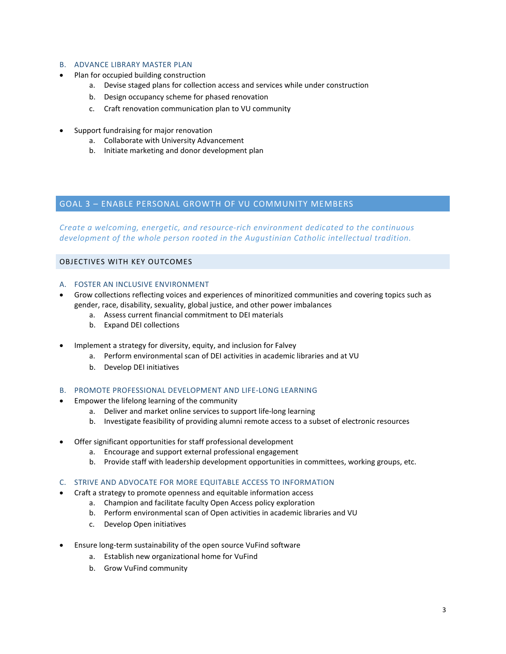## B. ADVANCE LIBRARY MASTER PLAN

- Plan for occupied building construction
	- a. Devise staged plans for collection access and services while under construction
	- b. Design occupancy scheme for phased renovation
	- c. Craft renovation communication plan to VU community
- Support fundraising for major renovation
	- a. Collaborate with University Advancement
	- b. Initiate marketing and donor development plan

# GOAL 3 – ENABLE PERSONAL GROWTH OF VU COMMUNITY MEMBERS

*Create a welcoming, energetic, and resource-rich environment dedicated to the continuous development of the whole person rooted in the Augustinian Catholic intellectual tradition.*

## OBJECTIVES WITH KEY OUTCOMES

## A. FOSTER AN INCLUSIVE ENVIRONMENT

- Grow collections reflecting voices and experiences of minoritized communities and covering topics such as gender, race, disability, sexuality, global justice, and other power imbalances
	- a. Assess current financial commitment to DEI materials
	- b. Expand DEI collections
- Implement a strategy for diversity, equity, and inclusion for Falvey
	- a. Perform environmental scan of DEI activities in academic libraries and at VU
	- b. Develop DEI initiatives
- B. PROMOTE PROFESSIONAL DEVELOPMENT AND LIFE-LONG LEARNING
- Empower the lifelong learning of the community
	- a. Deliver and market online services to support life-long learning
	- b. Investigate feasibility of providing alumni remote access to a subset of electronic resources
- Offer significant opportunities for staff professional development
	- a. Encourage and support external professional engagement
	- b. Provide staff with leadership development opportunities in committees, working groups, etc.

## C. STRIVE AND ADVOCATE FOR MORE EQUITABLE ACCESS TO INFORMATION

- Craft a strategy to promote openness and equitable information access
	- a. Champion and facilitate faculty Open Access policy exploration
	- b. Perform environmental scan of Open activities in academic libraries and VU
	- c. Develop Open initiatives
- Ensure long-term sustainability of the open source VuFind software
	- a. Establish new organizational home for VuFind
	- b. Grow VuFind community